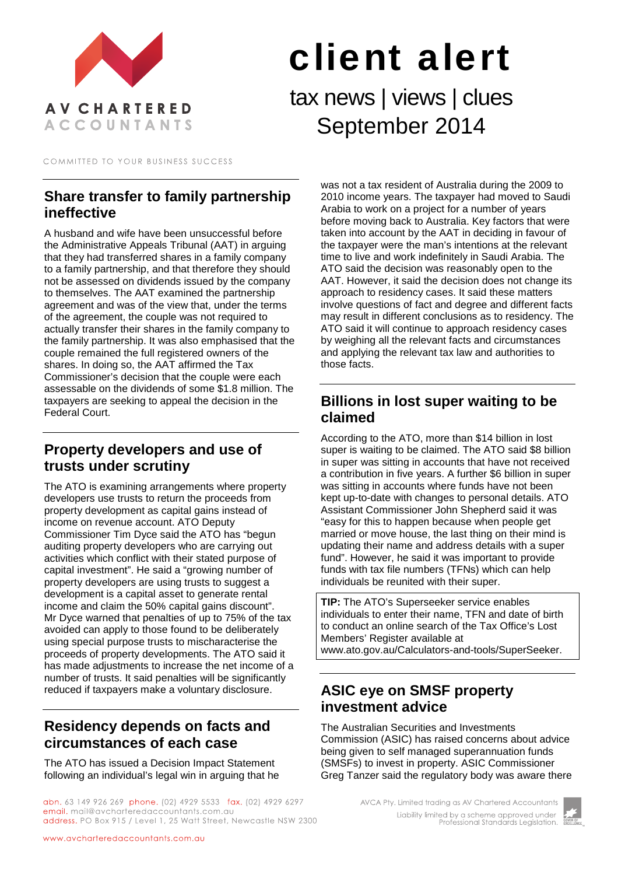

# client alert tax news | views | clues September 2014

COMMITTED TO YOUR BUSINESS SUCCESS

#### **Share transfer to family partnership ineffective**

A husband and wife have been unsuccessful before the Administrative Appeals Tribunal (AAT) in arguing that they had transferred shares in a family company to a family partnership, and that therefore they should not be assessed on dividends issued by the company to themselves. The AAT examined the partnership agreement and was of the view that, under the terms of the agreement, the couple was not required to actually transfer their shares in the family company to the family partnership. It was also emphasised that the couple remained the full registered owners of the shares. In doing so, the AAT affirmed the Tax Commissioner's decision that the couple were each assessable on the dividends of some \$1.8 million. The taxpayers are seeking to appeal the decision in the Federal Court.

# **Property developers and use of trusts under scrutiny**

The ATO is examining arrangements where property developers use trusts to return the proceeds from property development as capital gains instead of income on revenue account. ATO Deputy Commissioner Tim Dyce said the ATO has "begun auditing property developers who are carrying out activities which conflict with their stated purpose of capital investment". He said a "growing number of property developers are using trusts to suggest a development is a capital asset to generate rental income and claim the 50% capital gains discount". Mr Dyce warned that penalties of up to 75% of the tax avoided can apply to those found to be deliberately using special purpose trusts to mischaracterise the proceeds of property developments. The ATO said it has made adjustments to increase the net income of a number of trusts. It said penalties will be significantly reduced if taxpayers make a voluntary disclosure.

# **Residency depends on facts and circumstances of each case**

The ATO has issued a Decision Impact Statement following an individual's legal win in arguing that he

abn. 63 149 926 269 phone. (02) 4929 5533 fax. (02) 4929 6297 email. mail@avcharteredaccountants.com.au address. PO Box 915 / Level 1, 25 Watt Street, Newcastle NSW 2300

was not a tax resident of Australia during the 2009 to 2010 income years. The taxpayer had moved to Saudi Arabia to work on a project for a number of years before moving back to Australia. Key factors that were taken into account by the AAT in deciding in favour of the taxpayer were the man's intentions at the relevant time to live and work indefinitely in Saudi Arabia. The ATO said the decision was reasonably open to the AAT. However, it said the decision does not change its approach to residency cases. It said these matters involve questions of fact and degree and different facts may result in different conclusions as to residency. The ATO said it will continue to approach residency cases by weighing all the relevant facts and circumstances and applying the relevant tax law and authorities to those facts.

# **Billions in lost super waiting to be claimed**

According to the ATO, more than \$14 billion in lost super is waiting to be claimed. The ATO said \$8 billion in super was sitting in accounts that have not received a contribution in five years. A further \$6 billion in super was sitting in accounts where funds have not been kept up-to-date with changes to personal details. ATO Assistant Commissioner John Shepherd said it was "easy for this to happen because when people get married or move house, the last thing on their mind is updating their name and address details with a super fund". However, he said it was important to provide funds with tax file numbers (TFNs) which can help individuals be reunited with their super.

**TIP:** The ATO's Superseeker service enables individuals to enter their name, TFN and date of birth to conduct an online search of the Tax Office's Lost Members' Register available at www.ato.gov.au/Calculators-and-tools/SuperSeeker.

# **ASIC eye on SMSF property investment advice**

The Australian Securities and Investments Commission (ASIC) has raised concerns about advice being given to self managed superannuation funds (SMSFs) to invest in property. ASIC Commissioner Greg Tanzer said the regulatory body was aware there

> AVCA Pty. Limited trading as AV Chartered Accountants Liability limited by a scheme approved under Professional Standards Legislation.